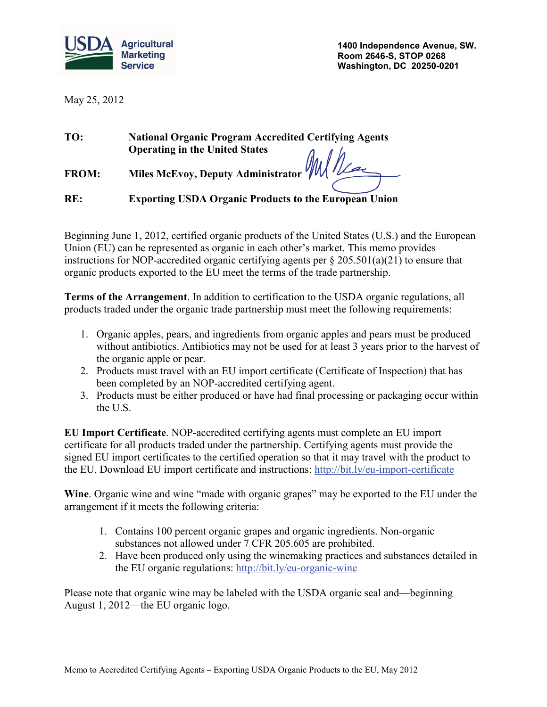

**1400 Independence Avenue, SW. Room 2646-S, STOP 0268 Washington, DC 20250-0201**

May 25, 2012

| TO:          | <b>National Organic Program Accredited Certifying Agents</b> |
|--------------|--------------------------------------------------------------|
|              | <b>Operating in the United States</b>                        |
| <b>FROM:</b> | Miles McEvoy, Deputy Administrator WWW                       |
| RE:          | <b>Exporting USDA Organic Products to the European Union</b> |

Beginning June 1, 2012, certified organic products of the United States (U.S.) and the European Union (EU) can be represented as organic in each other's market. This memo provides instructions for NOP-accredited organic certifying agents per § 205.501(a)(21) to ensure that organic products exported to the EU meet the terms of the trade partnership.

**Terms of the Arrangement**. In addition to certification to the USDA organic regulations, all products traded under the organic trade partnership must meet the following requirements:

- 1. Organic apples, pears, and ingredients from organic apples and pears must be produced without antibiotics. Antibiotics may not be used for at least 3 years prior to the harvest of the organic apple or pear.
- 2. Products must travel with an EU import certificate (Certificate of Inspection) that has been completed by an NOP-accredited certifying agent.
- 3. Products must be either produced or have had final processing or packaging occur within the U.S.

**EU Import Certificate**. NOP-accredited certifying agents must complete an EU import certificate for all products traded under the partnership. Certifying agents must provide the signed EU import certificates to the certified operation so that it may travel with the product to the EU. Download EU import certificate and instructions:<http://bit.ly/eu-import-certificate>

**Wine**. Organic wine and wine "made with organic grapes" may be exported to the EU under the arrangement if it meets the following criteria:

- 1. Contains 100 percent organic grapes and organic ingredients. Non-organic substances not allowed under 7 CFR 205.605 are prohibited.
- 2. Have been produced only using the winemaking practices and substances detailed in the EU organic regulations:<http://bit.ly/eu-organic-wine>

Please note that organic wine may be labeled with the USDA organic seal and—beginning August 1, 2012—the EU organic logo.